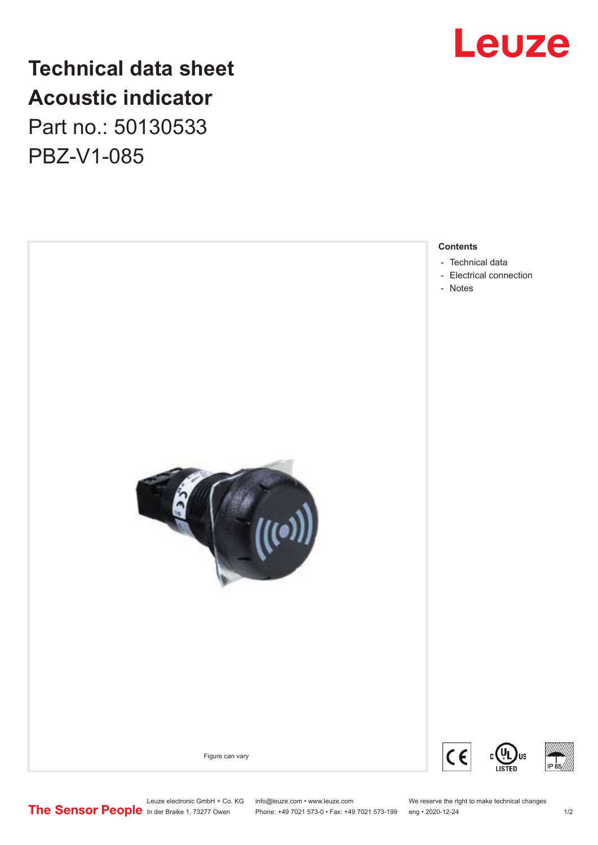

## **Technical data sheet Acoustic indicator**

Part no.: 50130533 PBZ-V1-085



Leuze electronic GmbH + Co. KG info@leuze.com • www.leuze.com We reserve the right to make technical changes<br>
The Sensor People in der Braike 1, 73277 Owen Phone: +49 7021 573-0 • Fax: +49 7021 573-199 eng • 2020-12-24

Phone: +49 7021 573-0 • Fax: +49 7021 573-199 eng • 2020-12-24 1 2